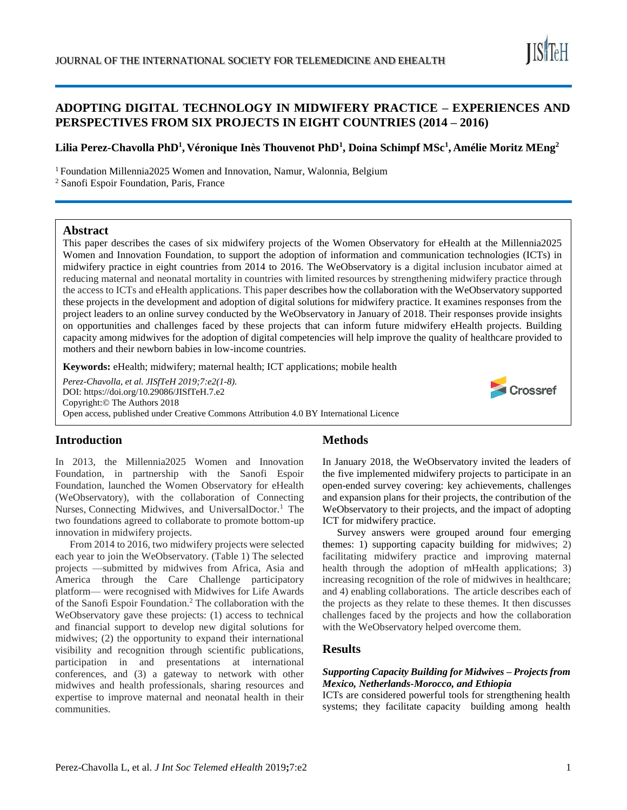# **ADOPTING DIGITAL TECHNOLOGY IN MIDWIFERY PRACTICE – EXPERIENCES AND PERSPECTIVES FROM SIX PROJECTS IN EIGHT COUNTRIES (2014 – 2016)**

# **Lilia Perez-Chavolla PhD<sup>1</sup> , Véronique Inès Thouvenot PhD<sup>1</sup> , Doina Schimpf MSc<sup>1</sup> , Amélie Moritz MEng<sup>2</sup>**

<sup>1</sup> Foundation Millennia2025 Women and Innovation, Namur, Walonnia, Belgium

<sup>2</sup> Sanofi Espoir Foundation, Paris, France

## **Abstract**

This paper describes the cases of six midwifery projects of the Women Observatory for eHealth at the Millennia2025 Women and Innovation Foundation, to support the adoption of information and communication technologies (ICTs) in midwifery practice in eight countries from 2014 to 2016. The WeObservatory is a digital inclusion incubator aimed at reducing maternal and neonatal mortality in countries with limited resources by strengthening midwifery practice through the access to ICTs and eHealth applications. This paper describes how the collaboration with the WeObservatory supported these projects in the development and adoption of digital solutions for midwifery practice. It examines responses from the project leaders to an online survey conducted by the WeObservatory in January of 2018. Their responses provide insights on opportunities and challenges faced by these projects that can inform future midwifery eHealth projects. Building capacity among midwives for the adoption of digital competencies will help improve the quality of healthcare provided to mothers and their newborn babies in low-income countries.

**Keywords:** eHealth; midwifery; maternal health; ICT applications; mobile health

*Perez-Chavolla, et al. JISfTeH 2019;7:e2(1-8).* DOI: https://doi.org/10.29086/JISfTeH.7.e2 Copyright:© The Authors 2018 Open access, published under Creative Commons Attribution 4.0 BY International Licence



# **Introduction**

In 2013, the Millennia2025 Women and Innovation Foundation, in partnership with the Sanofi Espoir Foundation, launched the Women Observatory for eHealth (WeObservatory), with the collaboration of Connecting Nurses, Connecting Midwives, and UniversalDoctor.<sup>1</sup> The two foundations agreed to collaborate to promote bottom-up innovation in midwifery projects.

From 2014 to 2016, two midwifery projects were selected each year to join the WeObservatory. (Table 1) The selected projects —submitted by midwives from Africa, Asia and America through the Care Challenge participatory platform— were recognised with Midwives for Life Awards of the Sanofi Espoir Foundation. <sup>2</sup> The collaboration with the WeObservatory gave these projects: (1) access to technical and financial support to develop new digital solutions for midwives; (2) the opportunity to expand their international visibility and recognition through scientific publications, participation in and presentations at international conferences, and (3) a gateway to network with other midwives and health professionals, sharing resources and expertise to improve maternal and neonatal health in their communities.

# **Methods**

In January 2018, the WeObservatory invited the leaders of the five implemented midwifery projects to participate in an open-ended survey covering: key achievements, challenges and expansion plans for their projects, the contribution of the WeObservatory to their projects, and the impact of adopting ICT for midwifery practice.

Survey answers were grouped around four emerging themes: 1) supporting capacity building for midwives; 2) facilitating midwifery practice and improving maternal health through the adoption of mHealth applications; 3) increasing recognition of the role of midwives in healthcare; and 4) enabling collaborations. The article describes each of the projects as they relate to these themes. It then discusses challenges faced by the projects and how the collaboration with the WeObservatory helped overcome them.

# **Results**

#### *Supporting Capacity Building for Midwives – Projects from Mexico, Netherlands-Morocco, and Ethiopia*

ICTs are considered powerful tools for strengthening health systems; they facilitate capacity building among health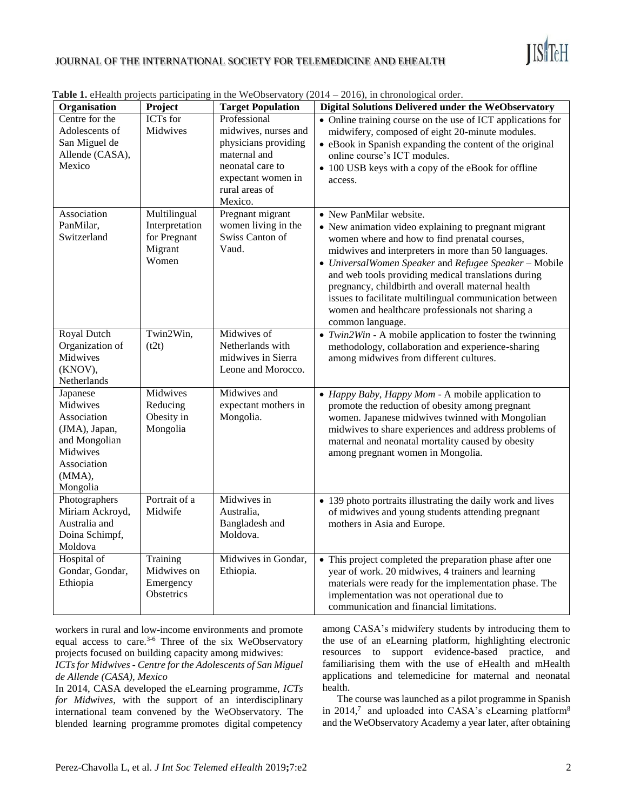

## JOURNAL OF THE INTERNATIONAL SOCIETY FOR TELEMEDICINE AND EHEALTH

| Organisation                                                                                                           | Project                                                            | <b>Target Population</b>                                                                                                                            | Digital Solutions Delivered under the WeObservatory                                                                                                                                                                                                                                                                                                                                                                                                                                              |
|------------------------------------------------------------------------------------------------------------------------|--------------------------------------------------------------------|-----------------------------------------------------------------------------------------------------------------------------------------------------|--------------------------------------------------------------------------------------------------------------------------------------------------------------------------------------------------------------------------------------------------------------------------------------------------------------------------------------------------------------------------------------------------------------------------------------------------------------------------------------------------|
| Centre for the<br>Adolescents of<br>San Miguel de<br>Allende (CASA),<br>Mexico                                         | <b>ICTs</b> for<br>Midwives                                        | Professional<br>midwives, nurses and<br>physicians providing<br>maternal and<br>neonatal care to<br>expectant women in<br>rural areas of<br>Mexico. | • Online training course on the use of ICT applications for<br>midwifery, composed of eight 20-minute modules.<br>• eBook in Spanish expanding the content of the original<br>online course's ICT modules.<br>• 100 USB keys with a copy of the eBook for offline<br>access.                                                                                                                                                                                                                     |
| Association<br>PanMilar,<br>Switzerland                                                                                | Multilingual<br>Interpretation<br>for Pregnant<br>Migrant<br>Women | Pregnant migrant<br>women living in the<br>Swiss Canton of<br>Vaud.                                                                                 | • New PanMilar website.<br>• New animation video explaining to pregnant migrant<br>women where and how to find prenatal courses,<br>midwives and interpreters in more than 50 languages.<br>• UniversalWomen Speaker and Refugee Speaker - Mobile<br>and web tools providing medical translations during<br>pregnancy, childbirth and overall maternal health<br>issues to facilitate multilingual communication between<br>women and healthcare professionals not sharing a<br>common language. |
| Royal Dutch<br>Organization of<br>Midwives<br>(KNOV),<br>Netherlands                                                   | Twin2Win,<br>(t2t)                                                 | Midwives of<br>Netherlands with<br>midwives in Sierra<br>Leone and Morocco.                                                                         | • $Twin2Win - A mobile application to foster the twinning$<br>methodology, collaboration and experience-sharing<br>among midwives from different cultures.                                                                                                                                                                                                                                                                                                                                       |
| Japanese<br>Midwives<br>Association<br>(JMA), Japan,<br>and Mongolian<br>Midwives<br>Association<br>(MMA),<br>Mongolia | Midwives<br>Reducing<br>Obesity in<br>Mongolia                     | Midwives and<br>expectant mothers in<br>Mongolia.                                                                                                   | • Happy Baby, Happy Mom - A mobile application to<br>promote the reduction of obesity among pregnant<br>women. Japanese midwives twinned with Mongolian<br>midwives to share experiences and address problems of<br>maternal and neonatal mortality caused by obesity<br>among pregnant women in Mongolia.                                                                                                                                                                                       |
| Photographers<br>Miriam Ackroyd,<br>Australia and<br>Doina Schimpf,<br>Moldova                                         | Portrait of a<br>Midwife                                           | Midwives in<br>Australia,<br>Bangladesh and<br>Moldova.                                                                                             | • 139 photo portraits illustrating the daily work and lives<br>of midwives and young students attending pregnant<br>mothers in Asia and Europe.                                                                                                                                                                                                                                                                                                                                                  |
| Hospital of<br>Gondar, Gondar,<br>Ethiopia                                                                             | Training<br>Midwives on<br>Emergency<br>Obstetrics                 | Midwives in Gondar,<br>Ethiopia.                                                                                                                    | • This project completed the preparation phase after one<br>year of work. 20 midwives, 4 trainers and learning<br>materials were ready for the implementation phase. The<br>implementation was not operational due to<br>communication and financial limitations.                                                                                                                                                                                                                                |

**Table 1.** eHealth projects participating in the WeObservatory (2014 – 2016), in chronological order

workers in rural and low-income environments and promote equal access to care.<sup>3-6</sup> Three of the six WeObservatory projects focused on building capacity among midwives:

*ICTs for Midwives - Centre for the Adolescents of San Miguel de Allende (CASA), Mexico*

In 2014, CASA developed the eLearning programme, *ICTs for Midwives*, with the support of an interdisciplinary international team convened by the WeObservatory. The blended learning programme promotes digital competency

among CASA's midwifery students by introducing them to the use of an eLearning platform, highlighting electronic resources to support evidence-based practice, and familiarising them with the use of eHealth and mHealth applications and telemedicine for maternal and neonatal health.

The course was launched as a pilot programme in Spanish in 2014,<sup>7</sup> and uploaded into CASA's eLearning platform<sup>8</sup> and the WeObservatory Academy a year later, after obtaining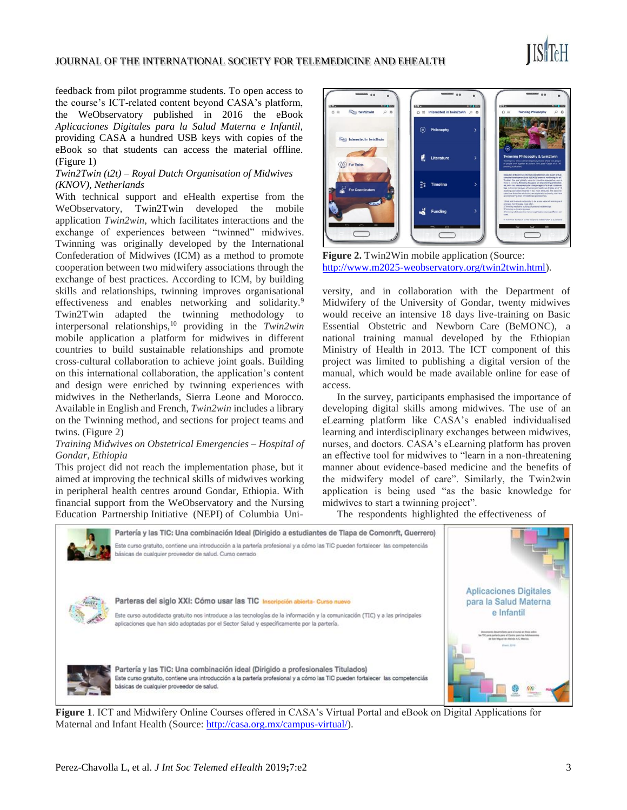#### JOURNAL OF THE INTERNATIONAL SOCIETY FOR TELEMEDICINE AND EHEALTH

feedback from pilot programme students. To open access to the course's ICT-related content beyond CASA's platform, the WeObservatory published in 2016 the eBook *Aplicaciones Digitales para la Salud Materna e Infantil,* providing CASA a hundred USB keys with copies of the eBook so that students can access the material offline. (Figure 1)

#### *Twin2Twin (t2t) – Royal Dutch Organisation of Midwives (KNOV), Netherlands*

With technical support and eHealth expertise from the WeObservatory, Twin2Twin developed the mobile application *Twin2win*, which facilitates interactions and the exchange of experiences between "twinned" midwives. Twinning was originally developed by the International Confederation of Midwives (ICM) as a method to promote cooperation between two midwifery associations through the exchange of best practices. According to ICM, by building skills and relationships, twinning improves organisational effectiveness and enables networking and solidarity.<sup>9</sup> Twin2Twin adapted the twinning methodology to interpersonal relationships,<sup>10</sup> providing in the *Twin2win*  mobile application a platform for midwives in different countries to build sustainable relationships and promote cross-cultural collaboration to achieve joint goals. Building on this international collaboration, the application's content and design were enriched by twinning experiences with midwives in the Netherlands, Sierra Leone and Morocco. Available in English and French, *Twin2win* includes a library on the Twinning method, and sections for project teams and twins. (Figure 2)

#### *Training Midwives on Obstetrical Emergencies – Hospital of Gondar, Ethiopia*

This project did not reach the implementation phase, but it aimed at improving the technical skills of midwives working in peripheral health centres around Gondar, Ethiopia. With financial support from the WeObservatory and the Nursing Education Partnership Initiative (NEPI) of Columbia Uniad in twin2twin 0 t

**Figure 2.** Twin2Win mobile application (Source: [http://www.m2025-weobservatory.org/twin2twin.html\)](http://www.m2025-weobservatory.org/twin2twin.html).

versity, and in collaboration with the Department of Midwifery of the University of Gondar, twenty midwives would receive an intensive 18 days live-training on Basic Essential Obstetric and Newborn Care (BeMONC), a national training manual developed by the Ethiopian Ministry of Health in 2013. The ICT component of this project was limited to publishing a digital version of the manual, which would be made available online for ease of access.

In the survey, participants emphasised the importance of developing digital skills among midwives. The use of an eLearning platform like CASA's enabled individualised learning and interdisciplinary exchanges between midwives, nurses, and doctors. CASA's eLearning platform has proven an effective tool for midwives to "learn in a non-threatening manner about evidence-based medicine and the benefits of the midwifery model of care". Similarly, the Twin2win application is being used "as the basic knowledge for midwives to start a twinning project".

The respondents highlighted the effectiveness of



**Figure 1**. ICT and Midwifery Online Courses offered in CASA's Virtual Portal and eBook on Digital Applications for Maternal and Infant Health (Source[: http://casa.org.mx/campus-virtual/\)](http://casa.org.mx/campus-virtual/).

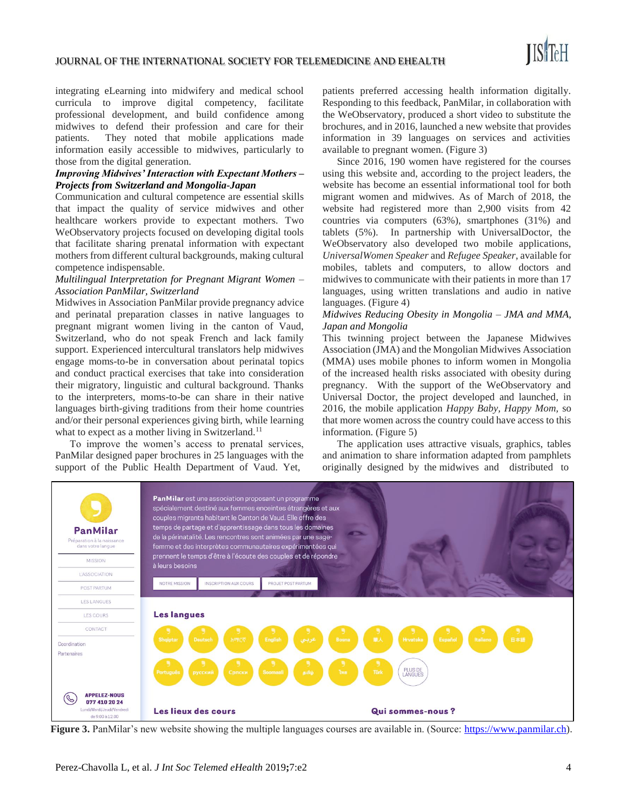integrating eLearning into midwifery and medical school curricula to improve digital competency, facilitate professional development, and build confidence among midwives to defend their profession and care for their patients. They noted that mobile applications made information easily accessible to midwives, particularly to those from the digital generation.

#### *Improving Midwives' Interaction with Expectant Mothers – Projects from Switzerland and Mongolia-Japan*

Communication and cultural competence are essential skills that impact the quality of service midwives and other healthcare workers provide to expectant mothers. Two WeObservatory projects focused on developing digital tools that facilitate sharing prenatal information with expectant mothers from different cultural backgrounds, making cultural competence indispensable.

### *Multilingual Interpretation for Pregnant Migrant Women – Association PanMilar, Switzerland*

Midwives in Association PanMilar provide pregnancy advice and perinatal preparation classes in native languages to pregnant migrant women living in the canton of Vaud, Switzerland, who do not speak French and lack family support. Experienced intercultural translators help midwives engage moms-to-be in conversation about perinatal topics and conduct practical exercises that take into consideration their migratory, linguistic and cultural background. Thanks to the interpreters, moms-to-be can share in their native languages birth-giving traditions from their home countries and/or their personal experiences giving birth, while learning what to expect as a mother living in Switzerland.<sup>11</sup>

To improve the women's access to prenatal services, PanMilar designed paper brochures in 25 languages with the support of the Public Health Department of Vaud. Yet,

patients preferred accessing health information digitally. Responding to this feedback, PanMilar, in collaboration with the WeObservatory, produced a short video to substitute the brochures, and in 2016, launched a new website that provides information in 39 languages on services and activities available to pregnant women. (Figure 3)

Since 2016, 190 women have registered for the courses using this website and, according to the project leaders, the website has become an essential informational tool for both migrant women and midwives. As of March of 2018, the website had registered more than 2,900 visits from 42 countries via computers (63%), smartphones (31%) and tablets (5%). In partnership with UniversalDoctor, the WeObservatory also developed two mobile applications, *UniversalWomen Speaker* and *Refugee Speaker*, available for mobiles, tablets and computers, to allow doctors and midwives to communicate with their patients in more than 17 languages, using written translations and audio in native languages. (Figure 4)

## *Midwives Reducing Obesity in Mongolia – JMA and MMA, Japan and Mongolia*

This twinning project between the Japanese Midwives Association (JMA) and the Mongolian Midwives Association (MMA) uses mobile phones to inform women in Mongolia of the increased health risks associated with obesity during pregnancy. With the support of the WeObservatory and Universal Doctor, the project developed and launched, in 2016, the mobile application *Happy Baby, Happy Mom,* so that more women across the country could have access to this information. (Figure 5)

The application uses attractive visuals, graphics, tables and animation to share information adapted from pamphlets originally designed by the midwives and distributed to



**Figure 3.** PanMilar's new website showing the multiple languages courses are available in. (Source: [https://www.panmilar.ch\)](https://www.panmilar.ch/).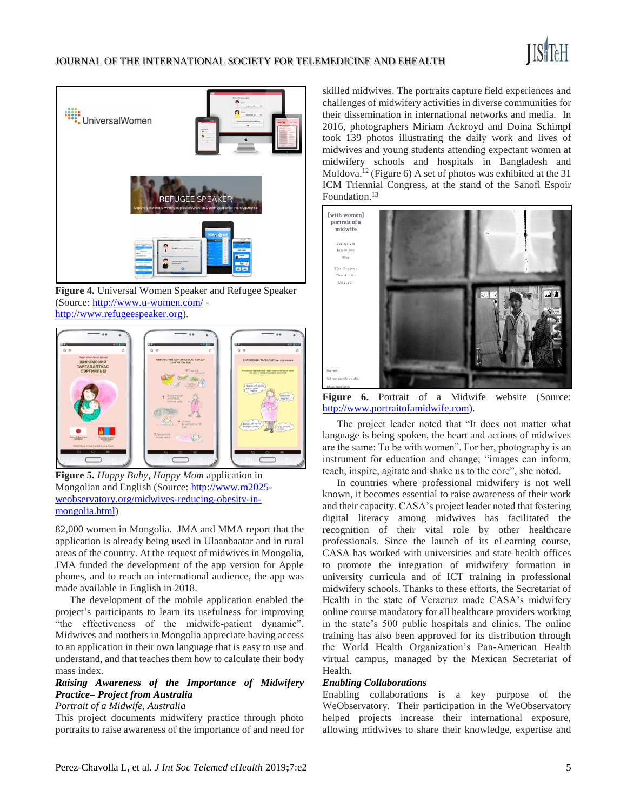



**Figure 4.** Universal Women Speaker and Refugee Speaker (Source:<http://www.u-women.com/> [http://www.refugeespeaker.org\)](http://www.refugeespeaker.org/).



**Figure 5.** *Happy Baby, Happy Mom* application in Mongolian and English (Source: [http://www.m2025](http://www.m2025-weobservatory.org/midwives-reducing-obesity-in-mongolia.html) [weobservatory.org/midwives-reducing-obesity-in](http://www.m2025-weobservatory.org/midwives-reducing-obesity-in-mongolia.html)[mongolia.html\)](http://www.m2025-weobservatory.org/midwives-reducing-obesity-in-mongolia.html)

82,000 women in Mongolia. JMA and MMA report that the application is already being used in Ulaanbaatar and in rural areas of the country. At the request of midwives in Mongolia, JMA funded the development of the app version for Apple phones, and to reach an international audience, the app was made available in English in 2018.

The development of the mobile application enabled the project's participants to learn its usefulness for improving "the effectiveness of the midwife-patient dynamic". Midwives and mothers in Mongolia appreciate having access to an application in their own language that is easy to use and understand, and that teaches them how to calculate their body mass index.

# *Raising Awareness of the Importance of Midwifery Practice– Project from Australia*

## *Portrait of a Midwife, Australia*

This project documents midwifery practice through photo portraits to raise awareness of the importance of and need for skilled midwives. The portraits capture field experiences and challenges of midwifery activities in diverse communities for their dissemination in international networks and media. In 2016, photographers Miriam Ackroyd and Doina Schimpf took 139 photos illustrating the daily work and lives of midwives and young students attending expectant women at midwifery schools and hospitals in Bangladesh and Moldova.<sup>12</sup> (Figure 6) A set of photos was exhibited at the 31 ICM Triennial Congress, at the stand of the Sanofi Espoir Foundation.<sup>13</sup>



Figure 6. Portrait of a Midwife website (Source: [http://www.portraitofamidwife.com\)](http://www.portraitofamidwife.com/).

The project leader noted that "It does not matter what language is being spoken, the heart and actions of midwives are the same: To be with women". For her, photography is an instrument for education and change; "images can inform, teach, inspire, agitate and shake us to the core", she noted.

In countries where professional midwifery is not well known, it becomes essential to raise awareness of their work and their capacity. CASA's project leader noted that fostering digital literacy among midwives has facilitated the recognition of their vital role by other healthcare professionals. Since the launch of its eLearning course, CASA has worked with universities and state health offices to promote the integration of midwifery formation in university curricula and of ICT training in professional midwifery schools. Thanks to these efforts, the Secretariat of Health in the state of Veracruz made CASA's midwifery online course mandatory for all healthcare providers working in the state's 500 public hospitals and clinics. The online training has also been approved for its distribution through the World Health Organization's Pan-American Health virtual campus, managed by the Mexican Secretariat of Health.

#### *Enabling Collaborations*

Enabling collaborations is a key purpose of the WeObservatory. Their participation in the WeObservatory helped projects increase their international exposure, allowing midwives to share their knowledge, expertise and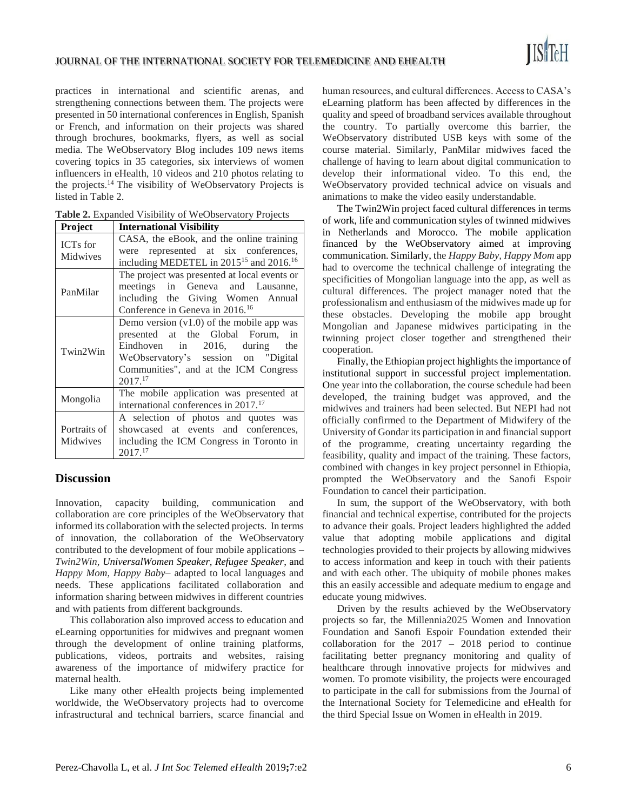practices in international and scientific arenas, and strengthening connections between them. The projects were presented in 50 international conferences in English, Spanish or French, and information on their projects was shared through brochures, bookmarks, flyers, as well as social media. The WeObservatory Blog includes 109 news items covering topics in 35 categories, six interviews of women influencers in eHealth, 10 videos and 210 photos relating to the projects.<sup>14</sup> The visibility of WeObservatory Projects is listed in Table 2.

| Table 2. Expanded Visibility of WeObservatory Projects |  |  |  |
|--------------------------------------------------------|--|--|--|
|--------------------------------------------------------|--|--|--|

| <b>Project</b>              | <b>International Visibility</b>                                                                                                                                                                                          |  |  |
|-----------------------------|--------------------------------------------------------------------------------------------------------------------------------------------------------------------------------------------------------------------------|--|--|
| <b>ICTs</b> for<br>Midwives | CASA, the eBook, and the online training<br>were represented at six conferences,<br>including MEDETEL in 2015 <sup>15</sup> and 2016. <sup>16</sup>                                                                      |  |  |
| PanMilar                    | The project was presented at local events or<br>meetings in Geneva and Lausanne,<br>including the Giving Women Annual<br>Conference in Geneva in 2016. <sup>16</sup>                                                     |  |  |
| Twin2Win                    | Demo version $(v1.0)$ of the mobile app was<br>presented at the Global Forum, in<br>Eindhoven in 2016, during the<br>WeObservatory's session on "Digital<br>Communities", and at the ICM Congress<br>2017. <sup>17</sup> |  |  |
| Mongolia                    | The mobile application was presented at<br>international conferences in 2017. <sup>17</sup>                                                                                                                              |  |  |
| Portraits of<br>Midwives    | A selection of photos and quotes was<br>showcased at events and conferences,<br>including the ICM Congress in Toronto in<br>2017.17                                                                                      |  |  |

# **Discussion**

Innovation, capacity building, communication and collaboration are core principles of the WeObservatory that informed its collaboration with the selected projects. In terms of innovation, the collaboration of the WeObservatory contributed to the development of four mobile applications – *Twin2Win, UniversalWomen Speaker, Refugee Speaker*, and *Happy Mom, Happy Baby*– adapted to local languages and needs. These applications facilitated collaboration and information sharing between midwives in different countries and with patients from different backgrounds.

This collaboration also improved access to education and eLearning opportunities for midwives and pregnant women through the development of online training platforms, publications, videos, portraits and websites, raising awareness of the importance of midwifery practice for maternal health.

Like many other eHealth projects being implemented worldwide, the WeObservatory projects had to overcome infrastructural and technical barriers, scarce financial and human resources, and cultural differences. Access to CASA's eLearning platform has been affected by differences in the quality and speed of broadband services available throughout the country. To partially overcome this barrier, the WeObservatory distributed USB keys with some of the course material. Similarly, PanMilar midwives faced the challenge of having to learn about digital communication to develop their informational video. To this end, the WeObservatory provided technical advice on visuals and animations to make the video easily understandable.

The Twin2Win project faced cultural differences in terms of work, life and communication styles of twinned midwives in Netherlands and Morocco. The mobile application financed by the WeObservatory aimed at improving communication. Similarly, the *Happy Baby, Happy Mom* app had to overcome the technical challenge of integrating the specificities of Mongolian language into the app, as well as cultural differences. The project manager noted that the professionalism and enthusiasm of the midwives made up for these obstacles. Developing the mobile app brought Mongolian and Japanese midwives participating in the twinning project closer together and strengthened their cooperation.

Finally, the Ethiopian project highlights the importance of institutional support in successful project implementation. One year into the collaboration, the course schedule had been developed, the training budget was approved, and the midwives and trainers had been selected. But NEPI had not officially confirmed to the Department of Midwifery of the University of Gondar its participation in and financial support of the programme, creating uncertainty regarding the feasibility, quality and impact of the training. These factors, combined with changes in key project personnel in Ethiopia, prompted the WeObservatory and the Sanofi Espoir Foundation to cancel their participation.

In sum, the support of the WeObservatory, with both financial and technical expertise, contributed for the projects to advance their goals. Project leaders highlighted the added value that adopting mobile applications and digital technologies provided to their projects by allowing midwives to access information and keep in touch with their patients and with each other. The ubiquity of mobile phones makes this an easily accessible and adequate medium to engage and educate young midwives.

Driven by the results achieved by the WeObservatory projects so far, the Millennia2025 Women and Innovation Foundation and Sanofi Espoir Foundation extended their collaboration for the 2017 – 2018 period to continue facilitating better pregnancy monitoring and quality of healthcare through innovative projects for midwives and women. To promote visibility, the projects were encouraged to participate in the call for submissions from the Journal of the International Society for Telemedicine and eHealth for the third Special Issue on Women in eHealth in 2019.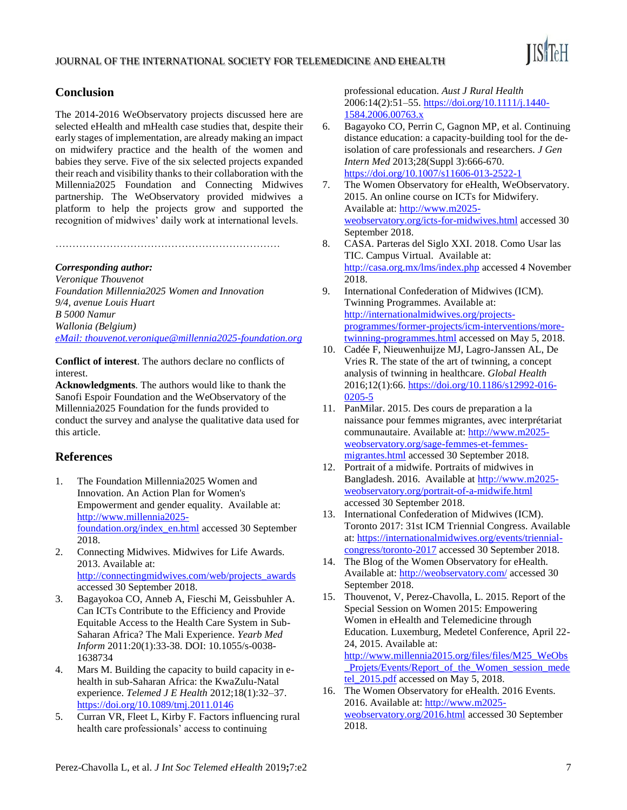

# **Conclusion**

The 2014-2016 WeObservatory projects discussed here are selected eHealth and mHealth case studies that, despite their early stages of implementation, are already making an impact on midwifery practice and the health of the women and babies they serve. Five of the six selected projects expanded their reach and visibility thanks to their collaboration with the Millennia2025 Foundation and Connecting Midwives partnership. The WeObservatory provided midwives a platform to help the projects grow and supported the recognition of midwives' daily work at international levels.

# *Corresponding author:*

*Veronique Thouvenot Foundation Millennia2025 Women and Innovation 9/4, avenue Louis Huart B 5000 Namur Wallonia (Belgium) eMail: thouvenot.veronique@millennia2025-foundation.org*

…………………………………………………………

**Conflict of interest**. The authors declare no conflicts of interest.

**Acknowledgments**. The authors would like to thank the Sanofi Espoir Foundation and the WeObservatory of the Millennia2025 Foundation for the funds provided to conduct the survey and analyse the qualitative data used for this article.

# **References**

- 1. The Foundation Millennia2025 Women and Innovation. An Action Plan for Women's Empowerment and gender equality. Available at: [http://www.millennia2025](http://www.millennia2025-foundation.org/index_en.html) [foundation.org/index\\_en.html](http://www.millennia2025-foundation.org/index_en.html) accessed 30 September 2018.
- 2. Connecting Midwives. Midwives for Life Awards. 2013. Available at: [http://connectingmidwives.com/web/projects\\_awards](http://connectingmidwives.com/web/projects_awards) accessed 30 September 2018.
- 3. Bagayokoa CO, Anneb A, Fieschi M, Geissbuhler A. Can ICTs Contribute to the Efficiency and Provide Equitable Access to the Health Care System in Sub-Saharan Africa? The Mali Experience. *Yearb Med Inform* 2011:20(1):33-38. DOI: 10.1055/s-0038- 1638734
- 4. Mars M. Building the capacity to build capacity in ehealth in sub-Saharan Africa: the KwaZulu-Natal experience. *Telemed J E Health* 2012;18(1):32–37. <https://doi.org/10.1089/tmj.2011.0146>
- 5. Curran VR, Fleet L, Kirby F. Factors influencing rural health care professionals' access to continuing

professional education. *Aust J Rural Health* 2006:14(2):51–55[. https://doi.org/10.1111/j.1440-](https://doi.org/10.1111/j.1440-1584.2006.00763.x) [1584.2006.00763.x](https://doi.org/10.1111/j.1440-1584.2006.00763.x)

- 6. Bagayoko CO, Perrin C, Gagnon MP, et al. Continuing distance education: a capacity-building tool for the deisolation of care professionals and researchers*. J Gen Intern Med* 2013;28(Suppl 3):666-670. <https://doi.org/10.1007/s11606-013-2522-1>
- 7. The Women Observatory for eHealth, WeObservatory. 2015. An online course on ICTs for Midwifery. Available at: [http://www.m2025](http://www.m2025-weobservatory.org/icts-for-midwives.html) [weobservatory.org/icts-for-midwives.html](http://www.m2025-weobservatory.org/icts-for-midwives.html) accessed 30 September 2018.
- 8. CASA. Parteras del Siglo XXI. 2018. Como Usar las TIC. Campus Virtual. Available at: <http://casa.org.mx/lms/index.php> accessed 4 November 2018.
- 9. International Confederation of Midwives (ICM). Twinning Programmes. Available at: [http://internationalmidwives.org/projects](http://internationalmidwives.org/projects-programmes/former-projects/icm-interventions/more-twinning-programmes.html)[programmes/former-projects/icm-interventions/more](http://internationalmidwives.org/projects-programmes/former-projects/icm-interventions/more-twinning-programmes.html)[twinning-programmes.html](http://internationalmidwives.org/projects-programmes/former-projects/icm-interventions/more-twinning-programmes.html) accessed on May 5, 2018.
- 10. Cadée F, Nieuwenhuijze MJ, Lagro-Janssen AL, De Vries R. The state of the art of twinning, a concept analysis of twinning in healthcare. *Global Health* 2016;12(1):66[. https://doi.org/10.1186/s12992-016-](https://doi.org/10.1186/s12992-016-0205-5) [0205-5](https://doi.org/10.1186/s12992-016-0205-5)
- 11. PanMilar. 2015. Des cours de preparation a la naissance pour femmes migrantes, avec interprétariat communautaire. Available at: [http://www.m2025](http://www.m2025-weobservatory.org/sage-femmes-et-femmes-migrantes.html) [weobservatory.org/sage-femmes-et-femmes](http://www.m2025-weobservatory.org/sage-femmes-et-femmes-migrantes.html)[migrantes.html](http://www.m2025-weobservatory.org/sage-femmes-et-femmes-migrantes.html) accessed 30 September 2018.
- 12. Portrait of a midwife. Portraits of midwives in Bangladesh. 2016. Available at [http://www.m2025](http://www.m2025-weobservatory.org/portrait-of-a-midwife.html) [weobservatory.org/portrait-of-a-midwife.html](http://www.m2025-weobservatory.org/portrait-of-a-midwife.html)  accessed 30 September 2018.
- 13. International Confederation of Midwives (ICM). Toronto 2017: 31st ICM Triennial Congress. Available at: [https://internationalmidwives.org/events/triennial](https://internationalmidwives.org/events/triennial-congress/toronto-2017)[congress/toronto-2017](https://internationalmidwives.org/events/triennial-congress/toronto-2017) accessed 30 September 2018.
- 14. The Blog of the Women Observatory for eHealth. Available at:<http://weobservatory.com/> accessed 30 September 2018.
- 15. Thouvenot, V, Perez-Chavolla, L. 2015. Report of the Special Session on Women 2015: Empowering Women in eHealth and Telemedicine through Education. Luxemburg, Medetel Conference, April 22- 24, 2015. Available at: [http://www.millennia2015.org/files/files/M25\\_WeObs](http://www.millennia2015.org/files/files/M25_WeObs_Projets/Events/Report_of_the_Women_session_medetel_2015.pdf) Projets/Events/Report of the Women session mede [tel\\_2015.pdf](http://www.millennia2015.org/files/files/M25_WeObs_Projets/Events/Report_of_the_Women_session_medetel_2015.pdf) accessed on May 5, 2018.
- 16. The Women Observatory for eHealth. 2016 Events. 2016. Available at: [http://www.m2025](http://www.m2025-weobservatory.org/2016.html) [weobservatory.org/2016.html](http://www.m2025-weobservatory.org/2016.html) accessed 30 September 2018.